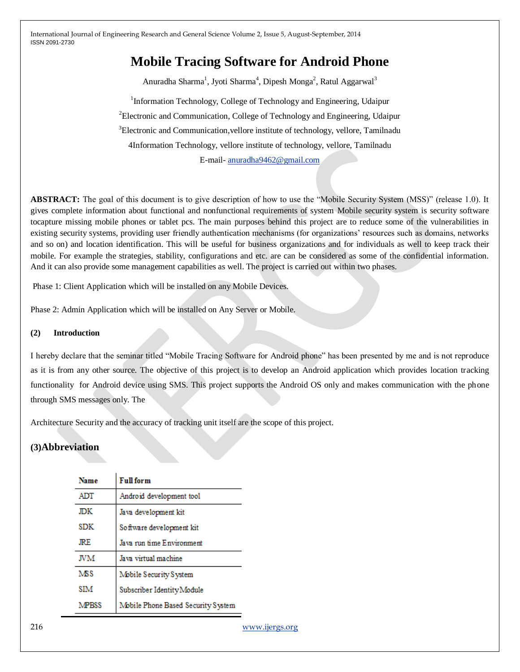# **Mobile Tracing Software for Android Phone**

Anuradha Sharma<sup>1</sup>, Jyoti Sharma<sup>4</sup>, Dipesh Monga<sup>2</sup>, Ratul Aggarwal<sup>3</sup>

<sup>1</sup>Information Technology, College of Technology and Engineering, Udaipur <sup>2</sup>Electronic and Communication, College of Technology and Engineering, Udaipur <sup>3</sup>Electronic and Communication, vellore institute of technology, vellore, Tamilnadu 4Information Technology, vellore institute of technology, vellore, Tamilnadu E-mail- [anuradha9462@gmail.com](mailto:anuradha9462@gmail.com)

**ABSTRACT:** The goal of this document is to give description of how to use the "Mobile Security System (MSS)" (release 1.0). It gives complete information about functional and nonfunctional requirements of system Mobile security system is security software tocapture missing mobile phones or tablet pcs. The main purposes behind this project are to reduce some of the vulnerabilities in existing security systems, providing user friendly authentication mechanisms (for organizations' resources such as domains, networks and so on) and location identification. This will be useful for business organizations and for individuals as well to keep track their mobile. For example the strategies, stability, configurations and etc. are can be considered as some of the confidential information. And it can also provide some management capabilities as well. The project is carried out within two phases.

Phase 1: Client Application which will be installed on any Mobile Devices.

Phase 2: Admin Application which will be installed on Any Server or Mobile.

#### **(2) Introduction**

I hereby declare that the seminar titled "Mobile Tracing Software for Android phone" has been presented by me and is not reproduce as it is from any other source. The objective of this project is to develop an Android application which provides location tracking functionality for Android device using SMS. This project supports the Android OS only and makes communication with the phone through SMS messages only. The

Architecture Security and the accuracy of tracking unit itself are the scope of this project.

# **(3)Abbreviation**

| <b>Name</b>  | <b>Full</b> form                   |
|--------------|------------------------------------|
| ADT          | Android development tool           |
| JDK          | Java development kit               |
| SDK          | Software development kit           |
| JRE.         | Java run time Environment          |
| JVM          | Java virtual machine               |
| <b>MSS</b>   | Mobile Security System             |
| SIM          | Subscriber Identity Module         |
| <b>MPRSS</b> | Mobile Phone Based Security System |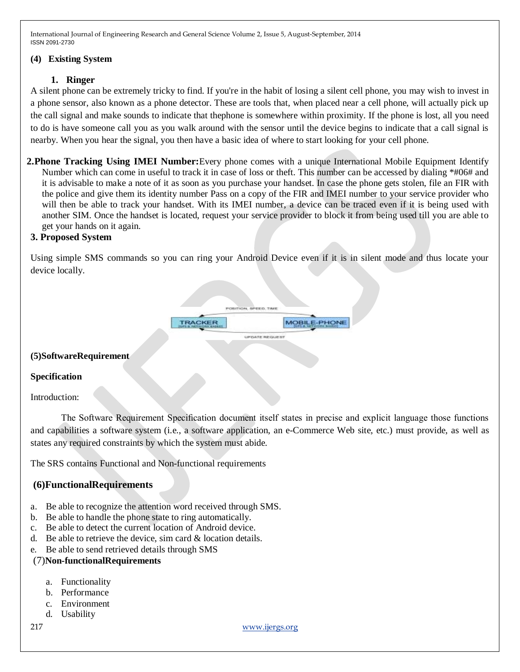### **(4) Existing System**

## **1. Ringer**

A silent phone can be extremely tricky to find. If you're in the habit of losing a silent cell phone, you may wish to invest in a phone sensor, also known as a phone detector. These are tools that, when placed near a cell phone, will actually pick up the call signal and make sounds to indicate that thephone is somewhere within proximity. If the phone is lost, all you need to do is have someone call you as you walk around with the sensor until the device begins to indicate that a call signal is nearby. When you hear the signal, you then have a basic idea of where to start looking for your cell phone.

**2.Phone Tracking Using IMEI Number:**Every phone comes with a unique International Mobile Equipment Identify Number which can come in useful to track it in case of loss or theft. This number can be accessed by dialing \*#06# and it is advisable to make a note of it as soon as you purchase your handset. In case the phone gets stolen, file an FIR with the police and give them its identity number Pass on a copy of the FIR and IMEI number to your service provider who will then be able to track your handset. With its IMEI number, a device can be traced even if it is being used with another SIM. Once the handset is located, request your service provider to block it from being used till you are able to get your hands on it again.

# **3. Proposed System**

Using simple SMS commands so you can ring your Android Device even if it is in silent mode and thus locate your device locally.



#### **(5)SoftwareRequirement**

#### **Specification**

Introduction:

The Software Requirement Specification document itself states in precise and explicit language those functions and capabilities a software system (i.e., a software application, an e-Commerce Web site, etc.) must provide, as well as states any required constraints by which the system must abide.

The SRS contains Functional and Non-functional requirements

# **(6)FunctionalRequirements**

- a. Be able to recognize the attention word received through SMS.
- b. Be able to handle the phone state to ring automatically.
- c. Be able to detect the current location of Android device.
- d. Be able to retrieve the device, sim card & location details.
- e. Be able to send retrieved details through SMS

# (7)**Non-functionalRequirements**

- a. Functionality
- b. Performance
- c. Environment
- d. Usability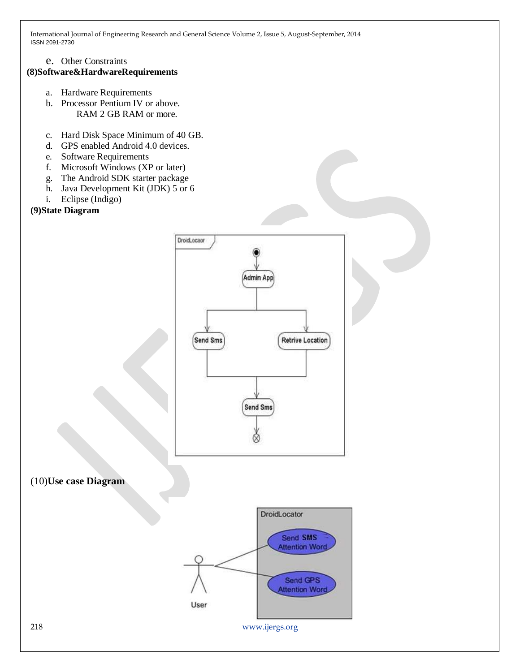e. Other Constraints

# **(8)Software&HardwareRequirements**

- a. Hardware Requirements
- b. Processor Pentium IV or above. RAM 2 GB RAM or more.
- c. Hard Disk Space Minimum of 40 GB.
- d. GPS enabled Android 4.0 devices.
- e. Software Requirements
- f. Microsoft Windows (XP or later)
- g. The Android SDK starter package
- h. Java Development Kit (JDK) 5 or 6
- i. Eclipse (Indigo)
- **(9)State Diagram**



(10)**Use case Diagram**

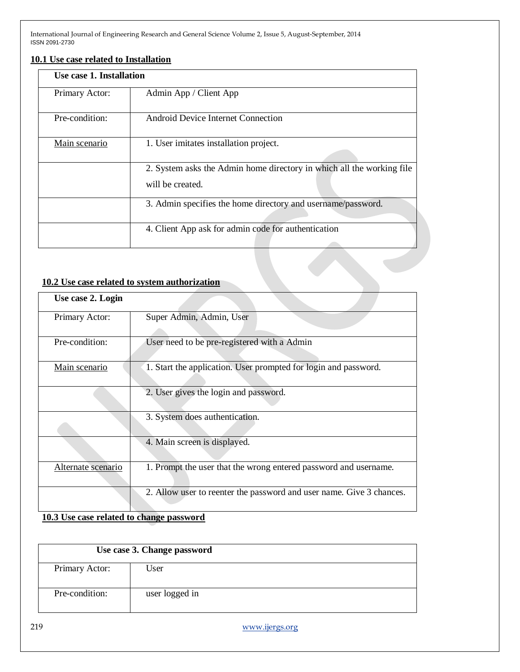### **10.1 Use case related to Installation**

| Use case 1. Installation |                                                                                           |
|--------------------------|-------------------------------------------------------------------------------------------|
| Primary Actor:           | Admin App / Client App                                                                    |
| Pre-condition:           | Android Device Internet Connection                                                        |
| Main scenario            | 1. User imitates installation project.                                                    |
|                          | 2. System asks the Admin home directory in which all the working file<br>will be created. |
|                          | 3. Admin specifies the home directory and username/password.                              |
|                          | 4. Client App ask for admin code for authentication                                       |

# **10.2 Use case related to system authorization**

| Use case 2. Login  |                                                                      |
|--------------------|----------------------------------------------------------------------|
| Primary Actor:     | Super Admin, Admin, User                                             |
| Pre-condition:     | User need to be pre-registered with a Admin                          |
| Main scenario      | 1. Start the application. User prompted for login and password.      |
|                    | 2. User gives the login and password.                                |
|                    | 3. System does authentication.                                       |
|                    | 4. Main screen is displayed.                                         |
| Alternate scenario | 1. Prompt the user that the wrong entered password and username.     |
|                    | 2. Allow user to reenter the password and user name. Give 3 chances. |

# **10.3 Use case related to change password**

| Use case 3. Change password |                |  |
|-----------------------------|----------------|--|
| Primary Actor:              | User           |  |
| Pre-condition:              | user logged in |  |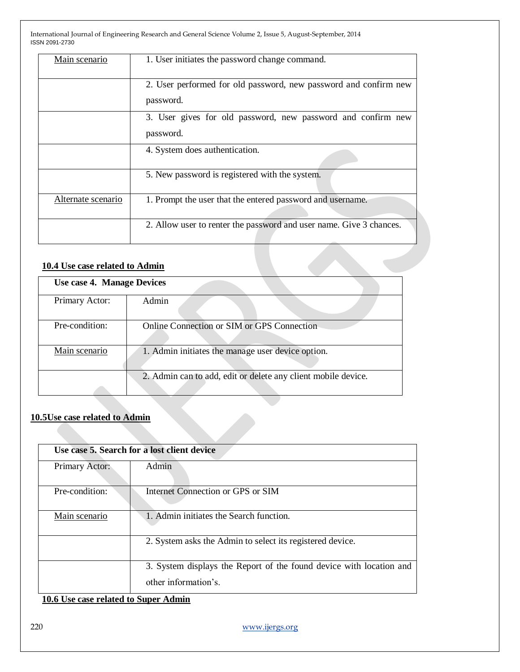| Main scenario                    | 1. User initiates the password change command.                                |  |
|----------------------------------|-------------------------------------------------------------------------------|--|
|                                  | 2. User performed for old password, new password and confirm new<br>password. |  |
|                                  | 3. User gives for old password, new password and confirm new<br>password.     |  |
|                                  | 4. System does authentication.                                                |  |
|                                  | 5. New password is registered with the system.                                |  |
| Alternate scenario               | 1. Prompt the user that the entered password and username.                    |  |
|                                  | 2. Allow user to renter the password and user name. Give 3 chances.           |  |
| $10.4$ Use aggs related to Admin |                                                                               |  |

# **10.4 Use case related to Admin**

| Use case 4. Manage Devices |                                                               |  |
|----------------------------|---------------------------------------------------------------|--|
| Primary Actor:             | Admin                                                         |  |
| Pre-condition:             | Online Connection or SIM or GPS Connection                    |  |
| Main scenario              | 1. Admin initiates the manage user device option.             |  |
|                            | 2. Admin can to add, edit or delete any client mobile device. |  |

# **10.5Use case related to Admin**

| Use case 5. Search for a lost client device |                                                                                             |
|---------------------------------------------|---------------------------------------------------------------------------------------------|
| Primary Actor:                              | Admin                                                                                       |
| Pre-condition:                              | Internet Connection or GPS or SIM                                                           |
| Main scenario                               | 1. Admin initiates the Search function.                                                     |
|                                             | 2. System asks the Admin to select its registered device.                                   |
|                                             | 3. System displays the Report of the found device with location and<br>other information's. |

# **10.6 Use case related to Super Admin**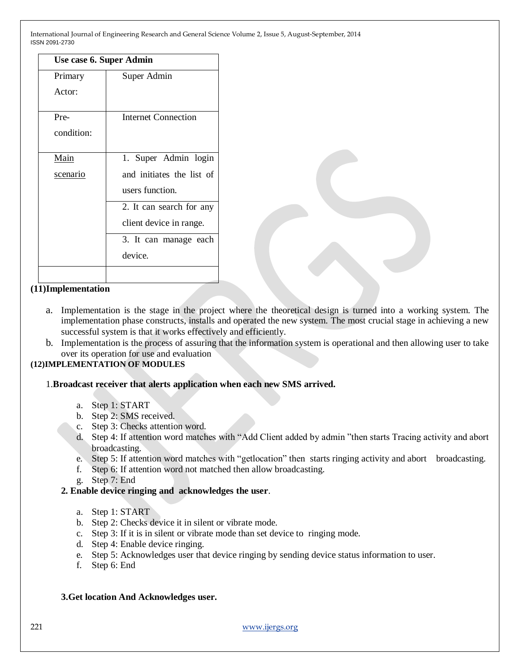|            | Use case 6. Super Admin    |  |  |
|------------|----------------------------|--|--|
| Primary    | Super Admin                |  |  |
| Actor:     |                            |  |  |
| Pre-       | <b>Internet Connection</b> |  |  |
| condition: |                            |  |  |
| Main       | 1. Super Admin login       |  |  |
| scenario   | and initiates the list of  |  |  |
|            | users function.            |  |  |
|            | 2. It can search for any   |  |  |
|            | client device in range.    |  |  |
|            | 3. It can manage each      |  |  |
|            | device.                    |  |  |
|            |                            |  |  |

#### **(11)Implementation**

- a. Implementation is the stage in the project where the theoretical design is turned into a working system. The implementation phase constructs, installs and operated the new system. The most crucial stage in achieving a new successful system is that it works effectively and efficiently.
- b. Implementation is the process of assuring that the information system is operational and then allowing user to take over its operation for use and evaluation

# **(12)IMPLEMENTATION OF MODULES**

#### 1.**Broadcast receiver that alerts application when each new SMS arrived.**

- a. Step 1: START
- b. Step 2: SMS received.
- c. Step 3: Checks attention word.
- d. Step 4: If attention word matches with "Add Client added by admin "then starts Tracing activity and abort broadcasting.
- e. Step 5: If attention word matches with "getlocation" then starts ringing activity and abort broadcasting.
- f. Step 6: If attention word not matched then allow broadcasting.
- g. Step 7: End
- **2. Enable device ringing and acknowledges the user**.
	- a. Step 1: START
	- b. Step 2: Checks device it in silent or vibrate mode.
	- c. Step 3: If it is in silent or vibrate mode than set device to ringing mode.
	- d. Step 4: Enable device ringing.
	- e. Step 5: Acknowledges user that device ringing by sending device status information to user.
	- f. Step 6: End

#### **3.Get location And Acknowledges user.**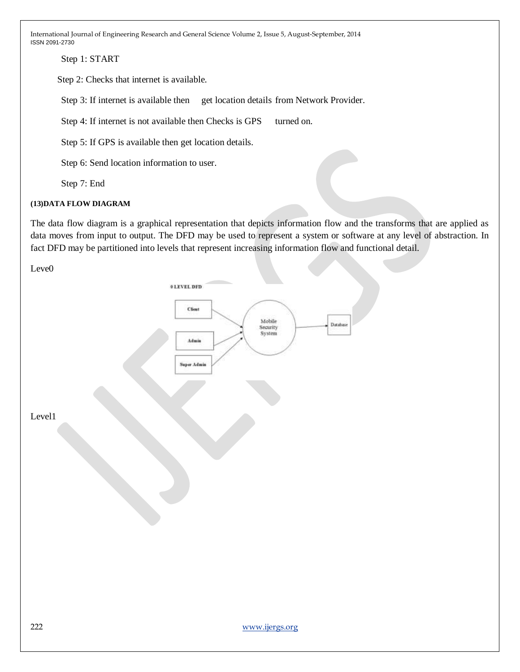Step 1: START

Step 2: Checks that internet is available.

Step 3: If internet is available then get location details from Network Provider.

Step 4: If internet is not available then Checks is GPS turned on.

Step 5: If GPS is available then get location details.

Step 6: Send location information to user.

Step 7: End

### **(13)DATA FLOW DIAGRAM**

The data flow diagram is a graphical representation that depicts information flow and the transforms that are applied as data moves from input to output. The DFD may be used to represent a system or software at any level of abstraction. In fact DFD may be partitioned into levels that represent increasing information flow and functional detail.

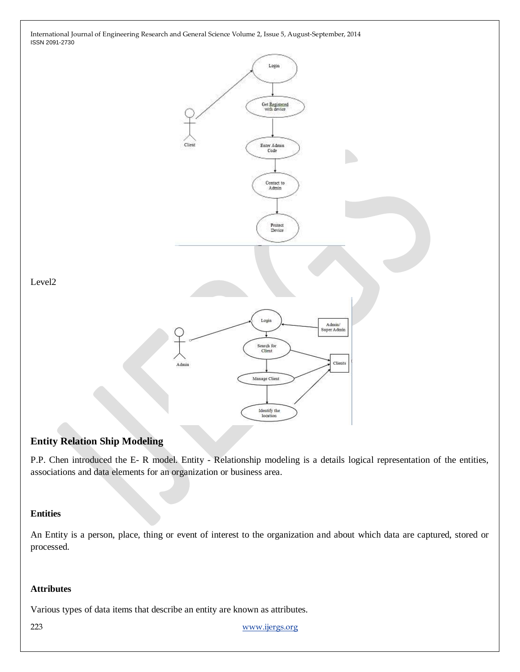

# **Entity Relation Ship Modeling**

P.P. Chen introduced the E- R model. Entity - Relationship modeling is a details logical representation of the entities, associations and data elements for an organization or business area.

#### **Entities**

An Entity is a person, place, thing or event of interest to the organization and about which data are captured, stored or processed.

## **Attributes**

Various types of data items that describe an entity are known as attributes.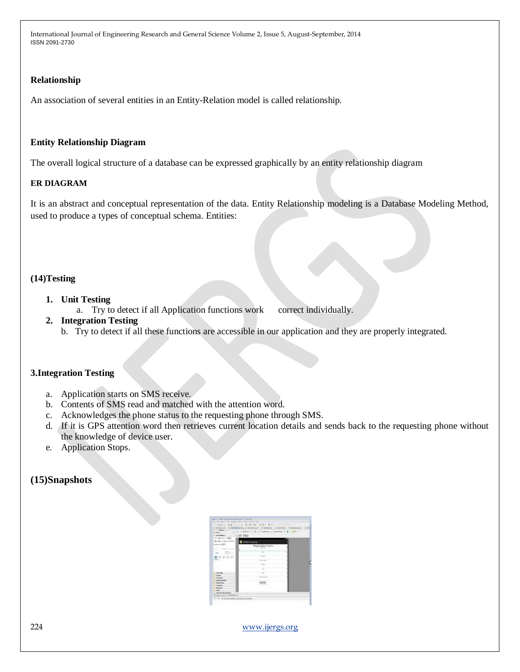## **Relationship**

An association of several entities in an Entity-Relation model is called relationship.

#### **Entity Relationship Diagram**

The overall logical structure of a database can be expressed graphically by an entity relationship diagram

#### **ER DIAGRAM**

It is an abstract and conceptual representation of the data. Entity Relationship modeling is a Database Modeling Method, used to produce a types of conceptual schema. Entities:

# **(14)Testing**

## **1. Unit Testing**

a. Try to detect if all Application functions work correct individually.

### **2. Integration Testing**

b. Try to detect if all these functions are accessible in our application and they are properly integrated.

# **3.Integration Testing**

- a. Application starts on SMS receive.
- b. Contents of SMS read and matched with the attention word.
- c. Acknowledges the phone status to the requesting phone through SMS.
- d. If it is GPS attention word then retrieves current location details and sends back to the requesting phone without the knowledge of device user.
- e. Application Stops.

# **(15)Snapshots**

| Number of Service | $\sim$ 6              |  |
|-------------------|-----------------------|--|
|                   |                       |  |
|                   | œ                     |  |
|                   | die bertra            |  |
|                   | <b>Reprodict Form</b> |  |
|                   |                       |  |
| ×                 |                       |  |
|                   |                       |  |
|                   |                       |  |
|                   |                       |  |
|                   |                       |  |
|                   |                       |  |
|                   |                       |  |
|                   |                       |  |
| <b>Searchaine</b> |                       |  |
|                   |                       |  |
|                   |                       |  |